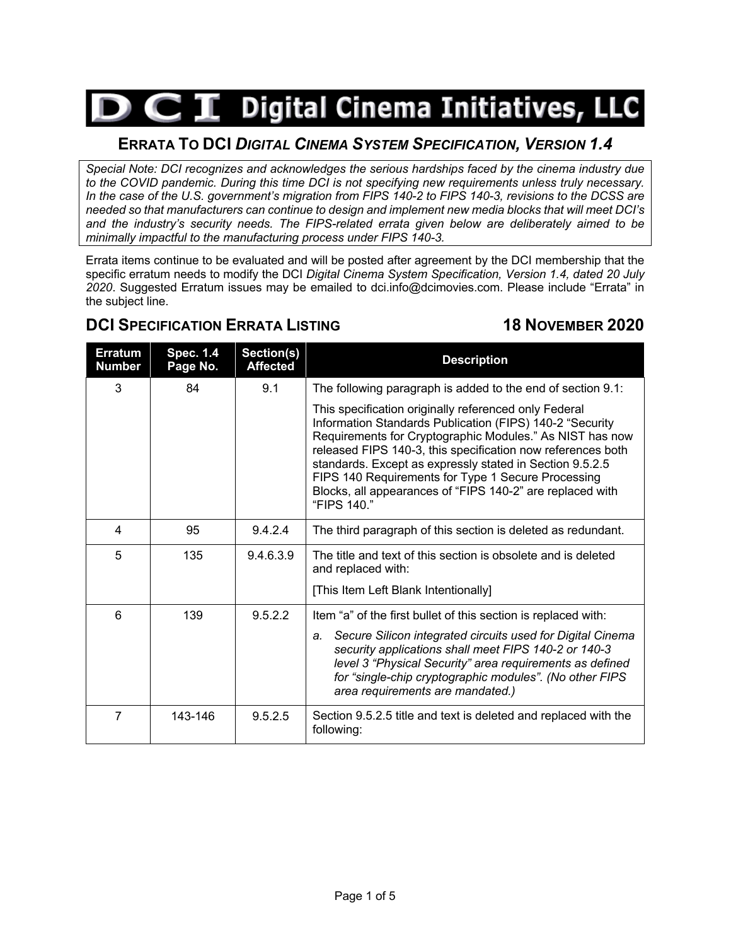## $\triangleright$   $\subset$   $\mathbf I$  Digital Cinema Initiatives, LLC

## **ERRATA TO DCI** *DIGITAL CINEMA SYSTEM SPECIFICATION, VERSION 1.4*

*Special Note: DCI recognizes and acknowledges the serious hardships faced by the cinema industry due to the COVID pandemic. During this time DCI is not specifying new requirements unless truly necessary. In the case of the U.S. government's migration from FIPS 140-2 to FIPS 140-3, revisions to the DCSS are needed so that manufacturers can continue to design and implement new media blocks that will meet DCI's and the industry's security needs. The FIPS-related errata given below are deliberately aimed to be minimally impactful to the manufacturing process under FIPS 140-3.*

Errata items continue to be evaluated and will be posted after agreement by the DCI membership that the specific erratum needs to modify the DCI *Digital Cinema System Specification, Version 1.4, dated 20 July 2020*. Suggested Erratum issues may be emailed to dci.info@dcimovies.com. Please include "Errata" in the subject line.

## **DCI SPECIFICATION ERRATA LISTING 18 NOVEMBER 2020**

| <b>Erratum</b><br><b>Number</b> | <b>Spec. 1.4</b><br>Page No. | Section(s)<br><b>Affected</b> | <b>Description</b>                                                                                                                                                                                                                                                                                                                                                                                                                         |  |
|---------------------------------|------------------------------|-------------------------------|--------------------------------------------------------------------------------------------------------------------------------------------------------------------------------------------------------------------------------------------------------------------------------------------------------------------------------------------------------------------------------------------------------------------------------------------|--|
| 3                               | 84                           | 9.1                           | The following paragraph is added to the end of section 9.1:                                                                                                                                                                                                                                                                                                                                                                                |  |
|                                 |                              |                               | This specification originally referenced only Federal<br>Information Standards Publication (FIPS) 140-2 "Security<br>Requirements for Cryptographic Modules." As NIST has now<br>released FIPS 140-3, this specification now references both<br>standards. Except as expressly stated in Section 9.5.2.5<br>FIPS 140 Requirements for Type 1 Secure Processing<br>Blocks, all appearances of "FIPS 140-2" are replaced with<br>"FIPS 140." |  |
| 4                               | 95                           | 9.4.2.4                       | The third paragraph of this section is deleted as redundant.                                                                                                                                                                                                                                                                                                                                                                               |  |
| 5                               | 135                          | 9.4.6.3.9                     | The title and text of this section is obsolete and is deleted<br>and replaced with:                                                                                                                                                                                                                                                                                                                                                        |  |
|                                 |                              |                               | [This Item Left Blank Intentionally]                                                                                                                                                                                                                                                                                                                                                                                                       |  |
| 6                               | 139                          | 9.5.2.2                       | Item "a" of the first bullet of this section is replaced with:                                                                                                                                                                                                                                                                                                                                                                             |  |
|                                 |                              |                               | Secure Silicon integrated circuits used for Digital Cinema<br>a.<br>security applications shall meet FIPS 140-2 or 140-3<br>level 3 "Physical Security" area requirements as defined<br>for "single-chip cryptographic modules". (No other FIPS<br>area requirements are mandated.)                                                                                                                                                        |  |
| 7                               | 143-146                      | 9.5.2.5                       | Section 9.5.2.5 title and text is deleted and replaced with the<br>following:                                                                                                                                                                                                                                                                                                                                                              |  |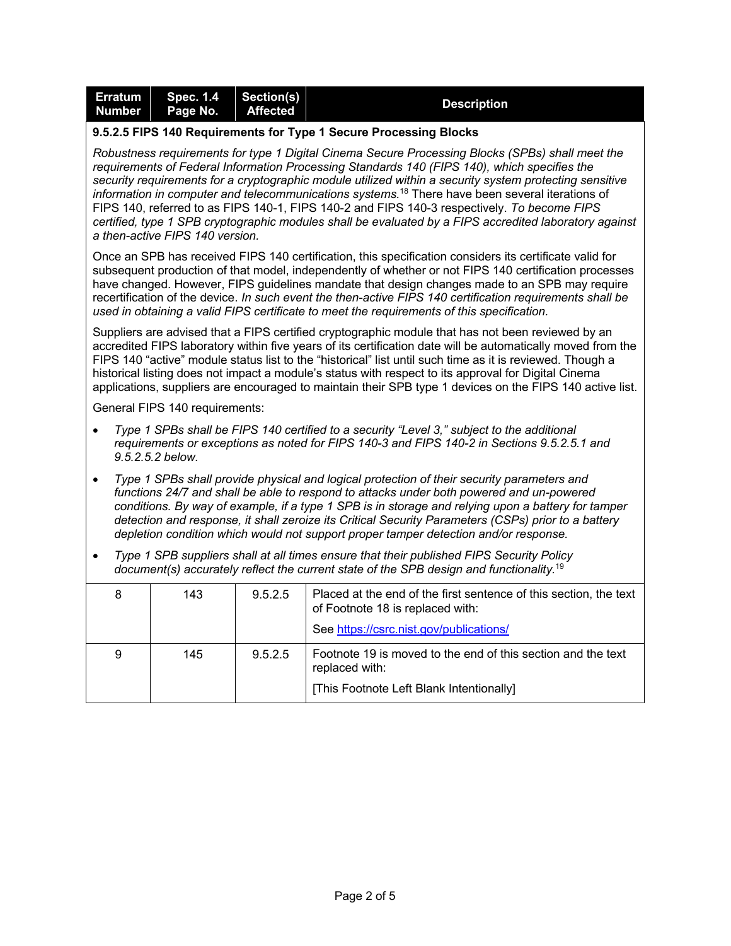| <b>Erratum</b><br><b>Number</b>                                                                                                                                                                                                                                                                                                                                                                                                                                                                                                                                                                                                                                        | <b>Spec. 1.4</b><br>Page No.   | Section(s)<br><b>Affected</b> | <b>Description</b>                                                                                                                                                                                                                                                                                                                                                                                                                                                                                                           |  |
|------------------------------------------------------------------------------------------------------------------------------------------------------------------------------------------------------------------------------------------------------------------------------------------------------------------------------------------------------------------------------------------------------------------------------------------------------------------------------------------------------------------------------------------------------------------------------------------------------------------------------------------------------------------------|--------------------------------|-------------------------------|------------------------------------------------------------------------------------------------------------------------------------------------------------------------------------------------------------------------------------------------------------------------------------------------------------------------------------------------------------------------------------------------------------------------------------------------------------------------------------------------------------------------------|--|
| 9.5.2.5 FIPS 140 Requirements for Type 1 Secure Processing Blocks                                                                                                                                                                                                                                                                                                                                                                                                                                                                                                                                                                                                      |                                |                               |                                                                                                                                                                                                                                                                                                                                                                                                                                                                                                                              |  |
| Robustness requirements for type 1 Digital Cinema Secure Processing Blocks (SPBs) shall meet the<br>requirements of Federal Information Processing Standards 140 (FIPS 140), which specifies the<br>security requirements for a cryptographic module utilized within a security system protecting sensitive<br>information in computer and telecommunications systems. <sup>18</sup> There have been several iterations of<br>FIPS 140, referred to as FIPS 140-1, FIPS 140-2 and FIPS 140-3 respectively. To become FIPS<br>certified, type 1 SPB cryptographic modules shall be evaluated by a FIPS accredited laboratory against<br>a then-active FIPS 140 version. |                                |                               |                                                                                                                                                                                                                                                                                                                                                                                                                                                                                                                              |  |
|                                                                                                                                                                                                                                                                                                                                                                                                                                                                                                                                                                                                                                                                        |                                |                               | Once an SPB has received FIPS 140 certification, this specification considers its certificate valid for<br>subsequent production of that model, independently of whether or not FIPS 140 certification processes<br>have changed. However, FIPS guidelines mandate that design changes made to an SPB may require<br>recertification of the device. In such event the then-active FIPS 140 certification requirements shall be<br>used in obtaining a valid FIPS certificate to meet the requirements of this specification. |  |
| Suppliers are advised that a FIPS certified cryptographic module that has not been reviewed by an<br>accredited FIPS laboratory within five years of its certification date will be automatically moved from the<br>FIPS 140 "active" module status list to the "historical" list until such time as it is reviewed. Though a<br>historical listing does not impact a module's status with respect to its approval for Digital Cinema<br>applications, suppliers are encouraged to maintain their SPB type 1 devices on the FIPS 140 active list.                                                                                                                      |                                |                               |                                                                                                                                                                                                                                                                                                                                                                                                                                                                                                                              |  |
|                                                                                                                                                                                                                                                                                                                                                                                                                                                                                                                                                                                                                                                                        | General FIPS 140 requirements: |                               |                                                                                                                                                                                                                                                                                                                                                                                                                                                                                                                              |  |
| $\bullet$                                                                                                                                                                                                                                                                                                                                                                                                                                                                                                                                                                                                                                                              | 9.5.2.5.2 below.               |                               | Type 1 SPBs shall be FIPS 140 certified to a security "Level 3," subject to the additional<br>requirements or exceptions as noted for FIPS 140-3 and FIPS 140-2 in Sections 9.5.2.5.1 and                                                                                                                                                                                                                                                                                                                                    |  |
| $\bullet$                                                                                                                                                                                                                                                                                                                                                                                                                                                                                                                                                                                                                                                              |                                |                               | Type 1 SPBs shall provide physical and logical protection of their security parameters and<br>functions 24/7 and shall be able to respond to attacks under both powered and un-powered<br>conditions. By way of example, if a type 1 SPB is in storage and relying upon a battery for tamper<br>detection and response, it shall zeroize its Critical Security Parameters (CSPs) prior to a battery<br>depletion condition which would not support proper tamper detection and/or response.                                  |  |
| $\bullet$                                                                                                                                                                                                                                                                                                                                                                                                                                                                                                                                                                                                                                                              |                                |                               | Type 1 SPB suppliers shall at all times ensure that their published FIPS Security Policy<br>document(s) accurately reflect the current state of the SPB design and functionality. <sup>19</sup>                                                                                                                                                                                                                                                                                                                              |  |

| 8 | 143 | 9.5.2.5 | Placed at the end of the first sentence of this section, the text<br>of Footnote 18 is replaced with: |  |
|---|-----|---------|-------------------------------------------------------------------------------------------------------|--|
|   |     |         | See https://csrc.nist.gov/publications/                                                               |  |
| 9 | 145 | 9.5.2.5 | Footnote 19 is moved to the end of this section and the text<br>replaced with:                        |  |
|   |     |         | [This Footnote Left Blank Intentionally]                                                              |  |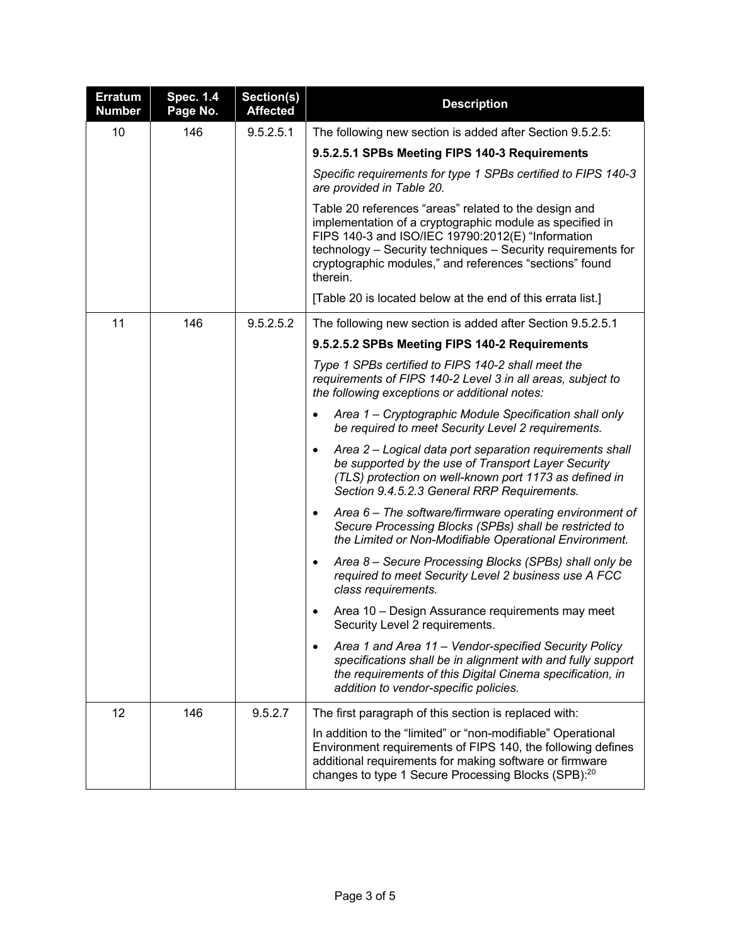| <b>Erratum</b><br><b>Number</b> | <b>Spec. 1.4</b><br>Page No. | Section(s)<br><b>Affected</b> | <b>Description</b>                                                                                                                                                                                                                                                                                                                                                                                                                                                         |  |  |  |
|---------------------------------|------------------------------|-------------------------------|----------------------------------------------------------------------------------------------------------------------------------------------------------------------------------------------------------------------------------------------------------------------------------------------------------------------------------------------------------------------------------------------------------------------------------------------------------------------------|--|--|--|
| 10                              | 146                          | 9.5.2.5.1                     | The following new section is added after Section 9.5.2.5:<br>9.5.2.5.1 SPBs Meeting FIPS 140-3 Requirements                                                                                                                                                                                                                                                                                                                                                                |  |  |  |
|                                 |                              |                               |                                                                                                                                                                                                                                                                                                                                                                                                                                                                            |  |  |  |
|                                 |                              |                               | Specific requirements for type 1 SPBs certified to FIPS 140-3<br>are provided in Table 20.<br>Table 20 references "areas" related to the design and<br>implementation of a cryptographic module as specified in<br>FIPS 140-3 and ISO/IEC 19790:2012(E) "Information<br>technology - Security techniques - Security requirements for<br>cryptographic modules," and references "sections" found<br>therein.<br>[Table 20 is located below at the end of this errata list.] |  |  |  |
|                                 |                              |                               |                                                                                                                                                                                                                                                                                                                                                                                                                                                                            |  |  |  |
|                                 |                              |                               |                                                                                                                                                                                                                                                                                                                                                                                                                                                                            |  |  |  |
| 11                              | 146                          | 9.5.2.5.2                     | The following new section is added after Section 9.5.2.5.1                                                                                                                                                                                                                                                                                                                                                                                                                 |  |  |  |
|                                 |                              |                               | 9.5.2.5.2 SPBs Meeting FIPS 140-2 Requirements                                                                                                                                                                                                                                                                                                                                                                                                                             |  |  |  |
|                                 |                              |                               | Type 1 SPBs certified to FIPS 140-2 shall meet the<br>requirements of FIPS 140-2 Level 3 in all areas, subject to<br>the following exceptions or additional notes:                                                                                                                                                                                                                                                                                                         |  |  |  |
|                                 |                              |                               | Area 1 – Cryptographic Module Specification shall only<br>$\bullet$<br>be required to meet Security Level 2 requirements.                                                                                                                                                                                                                                                                                                                                                  |  |  |  |
|                                 |                              |                               | Area 2 – Logical data port separation requirements shall<br>$\bullet$<br>be supported by the use of Transport Layer Security<br>(TLS) protection on well-known port 1173 as defined in<br>Section 9.4.5.2.3 General RRP Requirements.                                                                                                                                                                                                                                      |  |  |  |
|                                 |                              |                               | Area 6 - The software/firmware operating environment of<br>$\bullet$<br>Secure Processing Blocks (SPBs) shall be restricted to<br>the Limited or Non-Modifiable Operational Environment.                                                                                                                                                                                                                                                                                   |  |  |  |
|                                 |                              |                               | Area 8 - Secure Processing Blocks (SPBs) shall only be<br>$\bullet$<br>required to meet Security Level 2 business use A FCC<br>class requirements.                                                                                                                                                                                                                                                                                                                         |  |  |  |
|                                 |                              |                               | Area 10 - Design Assurance requirements may meet<br>Security Level 2 requirements.                                                                                                                                                                                                                                                                                                                                                                                         |  |  |  |
|                                 |                              |                               | Area 1 and Area 11 - Vendor-specified Security Policy<br>$\bullet$<br>specifications shall be in alignment with and fully support<br>the requirements of this Digital Cinema specification, in<br>addition to vendor-specific policies.                                                                                                                                                                                                                                    |  |  |  |
| 12                              | 146                          | 9.5.2.7                       | The first paragraph of this section is replaced with:                                                                                                                                                                                                                                                                                                                                                                                                                      |  |  |  |
|                                 |                              |                               | In addition to the "limited" or "non-modifiable" Operational<br>Environment requirements of FIPS 140, the following defines<br>additional requirements for making software or firmware<br>changes to type 1 Secure Processing Blocks (SPB): <sup>20</sup>                                                                                                                                                                                                                  |  |  |  |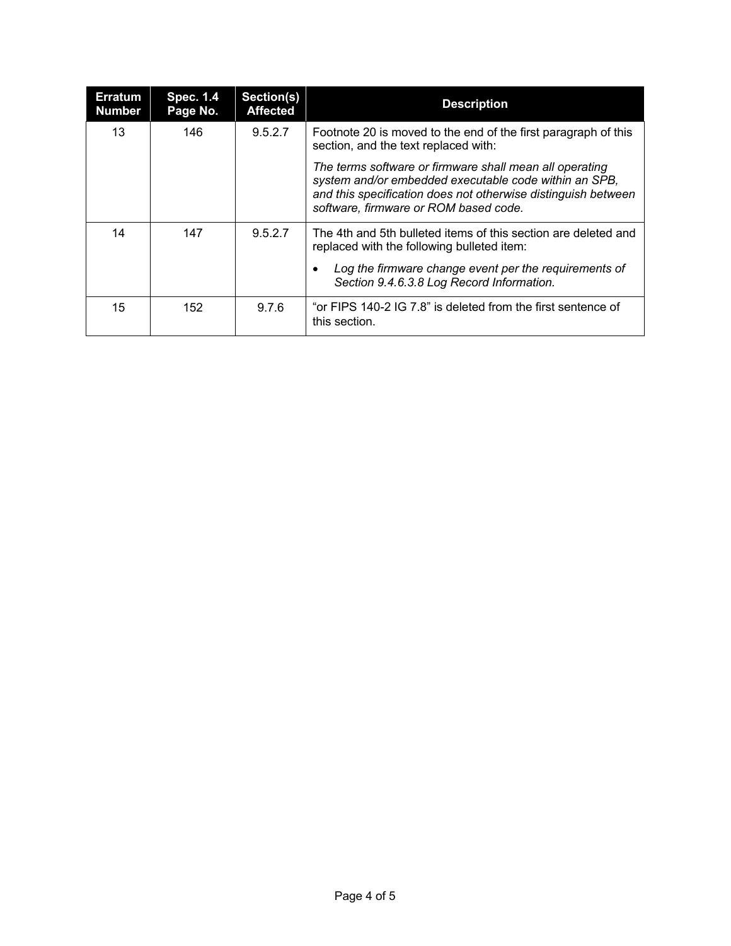| <b>Erratum</b><br><b>Number</b> | <b>Spec. 1.4</b><br>Page No. | Section(s)<br><b>Affected</b> | <b>Description</b>                                                                                                                                                                                                         |  |
|---------------------------------|------------------------------|-------------------------------|----------------------------------------------------------------------------------------------------------------------------------------------------------------------------------------------------------------------------|--|
| 13                              | 146                          | 9.5.2.7                       | Footnote 20 is moved to the end of the first paragraph of this<br>section, and the text replaced with:                                                                                                                     |  |
|                                 |                              |                               | The terms software or firmware shall mean all operating<br>system and/or embedded executable code within an SPB,<br>and this specification does not otherwise distinguish between<br>software, firmware or ROM based code. |  |
| 14                              | 147                          | 9.5.2.7                       | The 4th and 5th bulleted items of this section are deleted and<br>replaced with the following bulleted item:<br>Log the firmware change event per the requirements of<br>Section 9.4.6.3.8 Log Record Information.         |  |
| 15                              | 152                          | 9.7.6                         | "or FIPS 140-2 IG 7.8" is deleted from the first sentence of<br>this section.                                                                                                                                              |  |